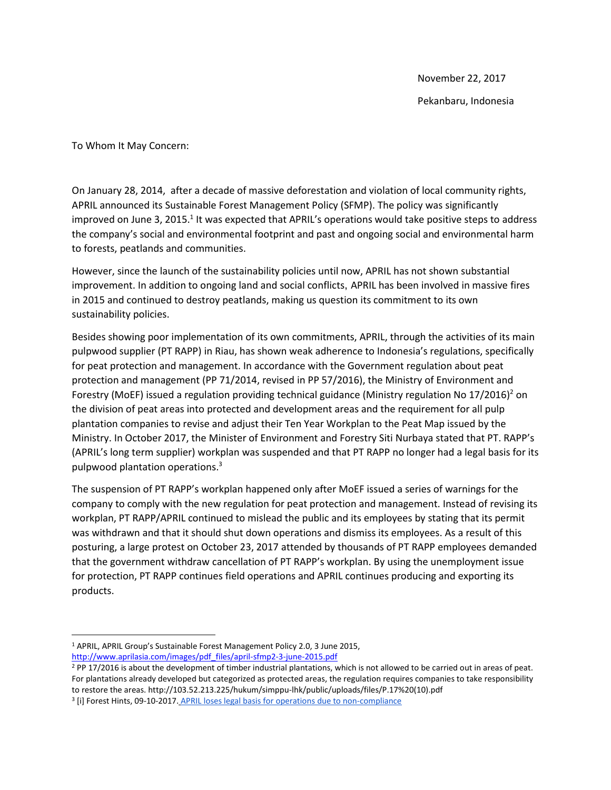November 22, 2017 Pekanbaru, Indonesia

To Whom It May Concern:

On January 28, 2014, after a decade of massive deforestation and violation of local community rights, APRIL announced its Sustainable Forest Management Policy (SFMP). The policy was significantly improved on June 3, 2015.<sup>1</sup> It was expected that APRIL's operations would take positive steps to address the company's social and environmental footprint and past and ongoing social and environmental harm to forests, peatlands and communities.

However, since the launch of the sustainability policies until now, APRIL has not shown substantial improvement. In addition to ongoing land and social conflicts, APRIL has been involved in massive fires in 2015 and continued to destroy peatlands, making us question its commitment to its own sustainability policies.

Besides showing poor implementation of its own commitments, APRIL, through the activities of its main pulpwood supplier (PT RAPP) in Riau, has shown weak adherence to Indonesia's regulations, specifically for peat protection and management. In accordance with the Government regulation about peat protection and management (PP 71/2014, revised in PP 57/2016), the Ministry of Environment and Forestry (MoEF) issued a regulation providing technical guidance (Ministry regulation No  $17/2016$ )<sup>2</sup> on the division of peat areas into protected and development areas and the requirement for all pulp plantation companies to revise and adjust their Ten Year Workplan to the Peat Map issued by the Ministry. In October 2017, the Minister of Environment and Forestry Siti Nurbaya stated that PT. RAPP's (APRIL's long term supplier) workplan was suspended and that PT RAPP no longer had a legal basis for its pulpwood plantation operations. 3

The suspension of PT RAPP's workplan happened only after MoEF issued a series of warnings for the company to comply with the new regulation for peat protection and management. Instead of revising its workplan, PT RAPP/APRIL continued to mislead the public and its employees by stating that its permit was withdrawn and that it should shut down operations and dismiss its employees. As a result of this posturing, a large protest on October 23, 2017 attended by thousands of PT RAPP employees demanded that the government withdraw cancellation of PT RAPP's workplan. By using the unemployment issue for protection, PT RAPP continues field operations and APRIL continues producing and exporting its products.

 $\overline{\phantom{a}}$ 

<sup>1</sup> APRIL, APRIL Group's Sustainable Forest Management Policy 2.0, 3 June 2015,

[http://www.aprilasia.com/images/pdf\\_files/april-sfmp2-3-june-2015.pdf](http://www.aprilasia.com/images/pdf_files/april-sfmp2-3-june-2015.pdf)

<sup>&</sup>lt;sup>2</sup> PP 17/2016 is about the development of timber industrial plantations, which is not allowed to be carried out in areas of peat. For plantations already developed but categorized as protected areas, the regulation requires companies to take responsibility to restore the areas. http://103.52.213.225/hukum/simppu-lhk/public/uploads/files/P.17%20(10).pdf

<sup>&</sup>lt;sup>3</sup> [i] Forest Hints, 09-10-2017. [APRIL loses legal basis for operations due to non-compliance](http://www.foresthints.news/april-loses-legal-basis-for-operations-due-to-non-compliance)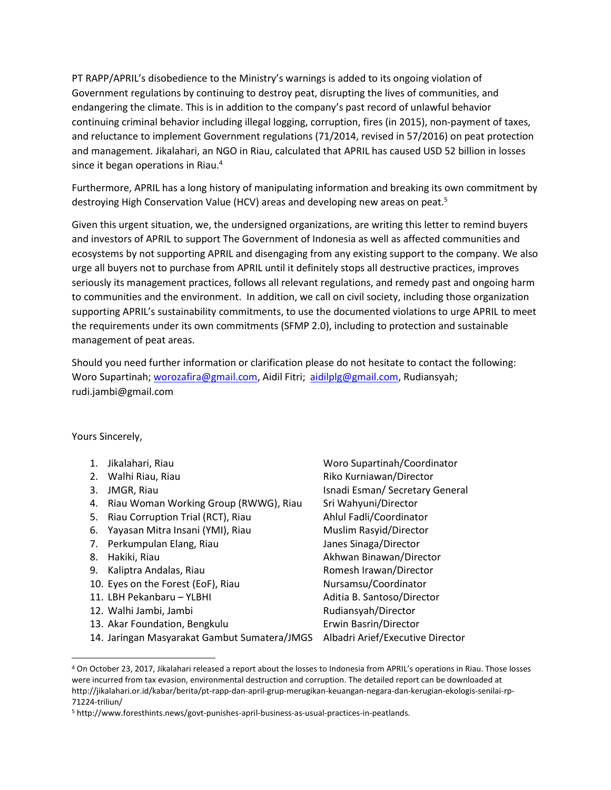PT RAPP/APRIL's disobedience to the Ministry's warnings is added to its ongoing violation of Government regulations by continuing to destroy peat, disrupting the lives of communities, and endangering the climate. This is in addition to the company's past record of unlawful behavior continuing criminal behavior including illegal logging, corruption, fires (in 2015), non-payment of taxes, and reluctance to implement Government regulations (71/2014, revised in 57/2016) on peat protection and management*.* Jikalahari, an NGO in Riau, calculated that APRIL has caused USD 52 billion in losses since it began operations in Riau.<sup>4</sup>

Furthermore, APRIL has a long history of manipulating information and breaking its own commitment by destroying High Conservation Value (HCV) areas and developing new areas on peat.<sup>5</sup>

Given this urgent situation, we, the undersigned organizations, are writing this letter to remind buyers and investors of APRIL to support The Government of Indonesia as well as affected communities and ecosystems by not supporting APRIL and disengaging from any existing support to the company. We also urge all buyers not to purchase from APRIL until it definitely stops all destructive practices, improves seriously its management practices, follows all relevant regulations, and remedy past and ongoing harm to communities and the environment. In addition, we call on civil society, including those organization supporting APRIL's sustainability commitments, to use the documented violations to urge APRIL to meet the requirements under its own commitments (SFMP 2.0), including to protection and sustainable management of peat areas.

Should you need further information or clarification please do not hesitate to contact the following: Woro Supartinah; [worozafira@gmail.com,](mailto:worozafira@gmail.com) Aidil Fitri; [aidilplg@gmail.com,](mailto:aidilplg@gmail.com) Rudiansyah; rudi.jambi@gmail.com

Yours Sincerely,

- 
- 
- 
- 4. Riau Woman Working Group (RWWG), Riau Sri Wahyuni/Director
- 5. Riau Corruption Trial (RCT), Riau Ahlul Fadli/Coordinator
- 6. Yayasan Mitra Insani (YMI), Riau Muslim Rasyid/Director
- 7. Perkumpulan Elang, Riau Janes Sinaga/Director
- 

 $\overline{\phantom{a}}$ 

- 9. Kaliptra Andalas, Riau Romesh Irawan/Director
- 10. Eyes on the Forest (EoF), Riau Nursamsu/Coordinator
- 11. LBH Pekanbaru YLBHI Aditia B. Santoso/Director
- 12. Walhi Jambi, Jambi Rudiansyah/Director
- 13. Akar Foundation, Bengkulu **Erwin Bastin/Director**
- 14. Jaringan Masyarakat Gambut Sumatera/JMGS Albadri Arief/Executive Director

1. Jikalahari, Riau Woro Supartinah/Coordinator 2. Walhi Riau, Riau Riko Kurniawan/Director 3. JMGR, Riau **Islam Islam Islam Islam Isnadi Esman** / Secretary General 8. Hakiki, Riau Akhwan Binawan/Director

<sup>4</sup> On October 23, 2017, Jikalahari released a report about the losses to Indonesia from APRIL's operations in Riau. Those losses were incurred from tax evasion, environmental destruction and corruption. The detailed report can be downloaded at http://jikalahari.or.id/kabar/berita/pt-rapp-dan-april-grup-merugikan-keuangan-negara-dan-kerugian-ekologis-senilai-rp-71224-triliun/

<sup>5</sup> http://www.foresthints.news/govt-punishes-april-business-as-usual-practices-in-peatlands.